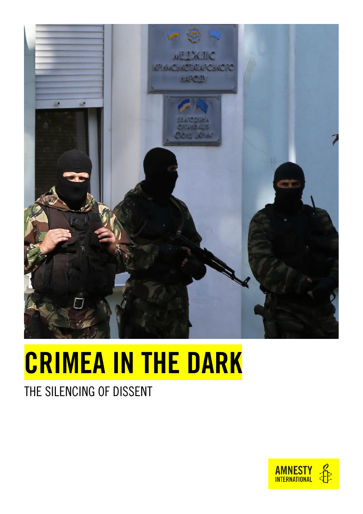

# CRIMEA IN THE DARK

### THE SILENCING OF DISSENT

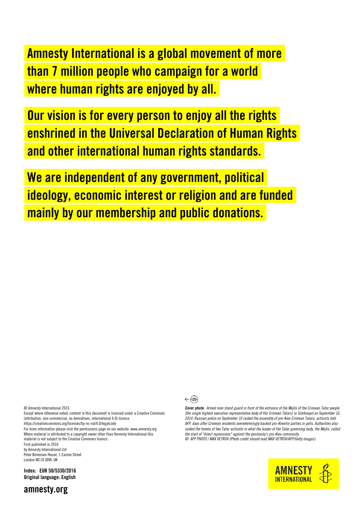Amnesty International is a global movement of more than 7 million people who campaign for a world where human rights are enjoyed by all.

Our vision is for every person to enjoy all the rights enshrined in the Universal Declaration of Human Rights and other international human rights standards.

We are independent of any government, political ideology, economic interest or religion and are funded mainly by our membership and public donations.

© Amnesty International 2016

Except where otherwise noted, content in this document is licensed under a Creative Commons (attribution, non-commercial, no derivatives, international 4.0) licence. <https://creativecommons.org/licenses/by-nc-nd/4.0/legalcode>

For more information please visit the permissions page on our website[: www.amnesty.org](http://www.amnesty.org/) Where material is attributed to a copyright owner other than Amnesty International this material is not subject to the Creative Commons licence. First published in 2016

by Amnesty International Ltd Peter Benenson House, 1 Easton Street London WC1X 0DW, UK

Index: EUR 50/5330/2016 Original language: English



*Cover photo: Armed men stand guard in front of the entrance of the Mejlis of the Crimean Tatar people (the single highest executive-representative body of the Crimean Tatars) in Simferopol on September 16, 2014. Russian police on September 16 raided the assembly of pro-Kiev Crimean Tatars, activists told AFP, days after Crimean residents overwhelmingly backed pro-Kremlin parties in polls. Authorities also raided the homes of two Tatar activists in what the leader of the Tatar governing body, the Mejlis, called the start of "direct repressions" against the peninsula's pro-Kiev community. © AFP PHOTO / MAX VETROV (Photo credit should read MAX VETROV/AFP/Getty Images)*



amnesty.org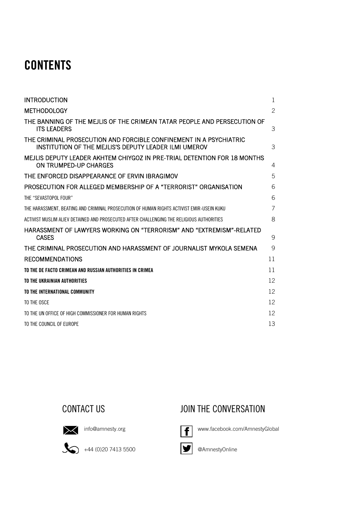### **CONTENTS**

| <b>INTRODUCTION</b>                                                                                                         | 1  |
|-----------------------------------------------------------------------------------------------------------------------------|----|
| <b>METHODOLOGY</b>                                                                                                          | 2  |
| THE BANNING OF THE MEJLIS OF THE CRIMEAN TATAR PEOPLE AND PERSECUTION OF<br><b>ITS LEADERS</b>                              | 3  |
| THE CRIMINAL PROSECUTION AND FORCIBLE CONFINEMENT IN A PSYCHIATRIC<br>INSTITUTION OF THE MEJLIS'S DEPUTY LEADER ILMI UMEROV | 3  |
| MEJLIS DEPUTY LEADER AKHTEM CHIYGOZ IN PRE-TRIAL DETENTION FOR 18 MONTHS<br>ON TRUMPED-UP CHARGES                           | 4  |
| THE ENFORCED DISAPPEARANCE OF FRVIN IBRAGIMOV                                                                               | 5  |
| PROSECUTION FOR ALLEGED MEMBERSHIP OF A "TERRORIST" ORGANISATION                                                            | 6  |
| THE "SEVASTOPOL FOUR"                                                                                                       | 6  |
| THE HARASSMENT. BEATING AND CRIMINAL PROSECUTION OF HUMAN RIGHTS ACTIVIST EMIR-USEIN KUKU                                   | 7  |
| ACTIVIST MUSLIM ALIEV DETAINED AND PROSECUTED AFTER CHALLENGING THE RELIGIOUS AUTHORITIES                                   | 8  |
| HARASSMENT OF LAWYERS WORKING ON "TERRORISM" AND "EXTREMISM"-RELATED<br><b>CASES</b>                                        | 9  |
| THE CRIMINAL PROSECUTION AND HARASSMENT OF JOURNALIST MYKOLA SEMENA                                                         | 9  |
| <b>RECOMMENDATIONS</b>                                                                                                      | 11 |
| TO THE DE FACTO CRIMEAN AND RUSSIAN AUTHORITIES IN CRIMEA                                                                   | 11 |
| TO THE UKRAINIAN AUTHORITIES                                                                                                | 12 |
| TO THE INTERNATIONAL COMMUNITY                                                                                              | 12 |
| TO THE OSCE                                                                                                                 | 12 |
| TO THE UN OFFICE OF HIGH COMMISSIONER FOR HUMAN RIGHTS                                                                      | 12 |
| TO THE COUNCIL OF EUROPE                                                                                                    | 13 |





[info@amnesty.org](mailto:info@amnesty.org)

 $\bigotimes$  +44 (0)20 7413 5500

 $\vert f \vert$ 

[www.facebook.com/AmnestyGlobal](http://www.facebook.com/AmnestyGlobal)



 $\blacktriangleright$ @AmnestyOnline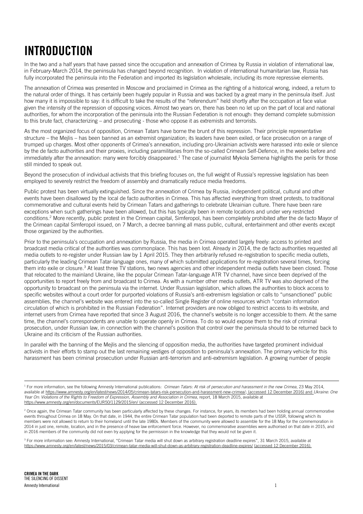### <span id="page-3-0"></span>INTRODUCTION

In the two and a half years that have passed since the occupation and annexation of Crimea by Russia in violation of international law, in February-March 2014, the peninsula has changed beyond recognition. In violation of international humanitarian law, Russia has fully incorporated the peninsula into the Federation and imported its legislation wholesale, including its more repressive elements.

The annexation of Crimea was presented in Moscow and proclaimed in Crimea as the righting of a historical wrong, indeed, a return to the natural order of things. It has certainly been hugely popular in Russia and was backed by a great many in the peninsula itself. Just how many it is impossible to say: it is difficult to take the results of the "referendum" held shortly after the occupation at face value given the intensity of the repression of opposing voices. Almost two years on, there has been no let up on the part of local and national authorities, for whom the incorporation of the peninsula into the Russian Federation is not enough: they demand complete submission to this brute fact, characterizing – and prosecuting - those who oppose it as extremists and terrorists.

As the most organized focus of opposition, Crimean Tatars have borne the brunt of this repression. Their principle representative structure – the Mejlis – has been banned as an extremist organization; its leaders have been exiled, or face prosecution on a range of trumped up charges. Most other opponents of Crimea's annexation, including pro-Ukrainian activists were harassed into exile or silence by the de facto authorities and their proxies, including paramilitaries from the so-called Crimean Self-Defence, in the weeks before and immediately after the annexation: many were forcibly disappeared.<sup>1</sup> The case of journalist Mykola Semena highlights the perils for those still minded to speak out.

Beyond the prosecution of individual activists that this briefing focuses on, the full weight of Russia's repressive legislation has been employed to severely restrict the freedom of assembly and dramatically reduce media freedoms.

Public protest has been virtually extinguished. Since the annexation of Crimea by Russia, independent political, cultural and other events have been disallowed by the local de facto authorities in Crimea. This has affected everything from street protests, to traditional commemorative and cultural events held by Crimean Tatars and gatherings to celebrate Ukrainian culture. There have been rare exceptions when such gatherings have been allowed, but this has typically been in remote locations and under very restricted conditions. <sup>2</sup> More recently, public protest in the Crimean capital, Simferopol, has been completely prohibited after the de facto Mayor of the Crimean capital Simferopol issued, on 7 March, a decree banning all mass public, cultural, entertainment and other events except those organized by the authorities.

Prior to the peninsula's occupation and annexation by Russia, the media in Crimea operated largely freely: access to printed and broadcast media critical of the authorities was commonplace. This has been lost. Already in 2014, the de facto authorities requested all media outlets to re-register under Russian law by 1 April 2015. They then arbitrarily refused re-registration to specific media outlets, particularly the leading Crimean Tatar-language ones, many of which submitted applications for re-registration several times, forcing them into exile or closure.<sup>3</sup> At least three TV stations, two news agencies and other independent media outlets have been closed. Those that relocated to the mainland Ukraine, like the popular Crimean Tatar-language ATR TV channel, have since been deprived of the opportunities to report freely from and broadcast to Crimea. As with a number other media outlets, ATR TV was also deprived of the opportunity to broadcast on the peninsula via the internet. Under Russian legislation, which allows the authorities to block access to specific websites without a court order for purported violations of Russia's anti-extremism legislation or calls to "unsanctioned" public assemblies, the channel's website was entered into the so-called Single Register of online resources which "contain information circulation of which is prohibited in the Russian Federation". Internet providers are now obliged to restrict access to its website, and internet users from Crimea have reported that since 3 August 2016, the channel's website is no longer accessible to them. At the same time, the channel's correspondents are unable to operate openly in Crimea. To do so would expose them to the risk of criminal prosecution, under Russian law, in connection with the channel's position that control over the peninsula should to be returned back to Ukraine and its criticism of the Russian authorities.

In parallel with the banning of the Mejlis and the silencing of opposition media, the authorities have targeted prominent individual activists in their efforts to stamp out the last remaining vestiges of opposition to peninsula's annexation. The primary vehicle for this harassment has been criminal prosecution under Russian anti-terrorism and anti-extremism legislation. A growing number of people

<sup>3</sup> For more information see: Amnesty International, "Crimean Tatar media will shut down as arbitrary registration deadline expires", 31 March 2015, available at <https://www.amnesty.org/en/latest/news/2015/03/crimean-tatar-media-will-shut-down-as-arbitrary-registration-deadline-expires/> (accessed 12 December 2016).

<sup>&</sup>lt;sup>1</sup> For more information, see the following Amnesty International publications: *Crimean Tatars: At risk of persecution and harassment in the new Crimea*, 23 May 2014, available a[t https://www.amnesty.org/en/latest/news/2014/05/crimean-tatars-risk-persecution-and-harassment-new-crimea/;](https://www.amnesty.org/en/latest/news/2014/05/crimean-tatars-risk-persecution-and-harassment-new-crimea/) (accessed 12 December 2016) and *Ukraine: One Year On: Violations of the Rights to Freedom of Expression, Assembly and Association in Crimea*, report, 18 March 2015, available at <https://www.amnesty.org/en/documents/EUR50/1129/2015/en/> (accessed 12 December 2016).

<sup>&</sup>lt;sup>2</sup> Once again, the Crimean Tatar community has been particularly affected by these changes. For instance, for years, its members had been holding annual commemorative events throughout Crimea on 18 May. On that date, in 1944, the entire Crimean Tatar population had been deported to remote parts of the USSR, following which its members were not allowed to return to their homeland until the late 1980s. Members of the community were allowed to assemble for the 18 May for the commemoration in 2014 in just one, remote, location, and in the presence of heave law enforcement force. However, no commemorative assemblies were authorised on that date in 2015, and in 2016 members of the community did not even try applying for the permission in the knowledge that they would not be given it.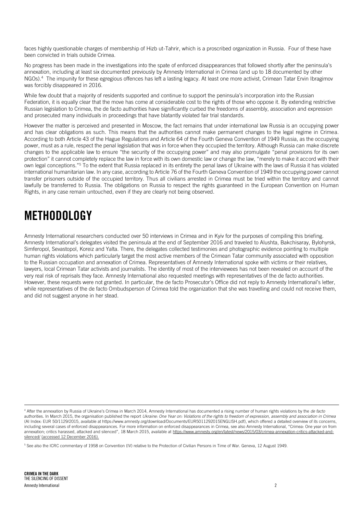faces highly questionable charges of membership of Hizb ut-Tahrir, which is a proscribed organization in Russia. Four of these have been convicted in trials outside Crimea.

No progress has been made in the investigations into the spate of enforced disappearances that followed shortly after the peninsula's annexation, including at least six documented previously by Amnesty International in Crimea (and up to 18 documented by other NGOs).<sup>4</sup> The impunity for these egregious offences has left a lasting legacy. At least one more activist, Crimean Tatar Ervin Ibragimov was forcibly disappeared in 2016.

While few doubt that a majority of residents supported and continue to support the peninsula's incorporation into the Russian Federation, it is equally clear that the move has come at considerable cost to the rights of those who oppose it. By extending restrictive Russian legislation to Crimea, the de facto authorities have significantly curbed the freedoms of assembly, association and expression and prosecuted many individuals in proceedings that have blatantly violated fair trial standards.

However the matter is perceived and presented in Moscow, the fact remains that under international law Russia is an occupying power and has clear obligations as such. This means that the authorities cannot make permanent changes to the legal regime in Crimea. According to both Article 43 of the Hague Regulations and Article 64 of the Fourth Geneva Convention of 1949 Russia, as the occupying power, must as a rule, respect the penal legislation that was in force when they occupied the territory. Although Russia can make discrete changes to the applicable law to ensure "the security of the occupying power" and may also promulgate "penal provisions for its own protection" it cannot completely replace the law in force with its own domestic law or change the law, "merely to make it accord with their own legal conceptions."<sup>5</sup> To the extent that Russia replaced in its entirety the penal laws of Ukraine with the laws of Russia it has violated international humanitarian law. In any case, according to Article 76 of the Fourth Geneva Convention of 1949 the occupying power cannot transfer prisoners outside of the occupied territory. Thus all civilians arrested in Crimea must be tried within the territory and cannot lawfully be transferred to Russia. The obligations on Russia to respect the rights guaranteed in the European Convention on Human Rights, in any case remain untouched, even if they are clearly not being observed.

### <span id="page-4-0"></span>METHODOLOGY

Amnesty International researchers conducted over 50 interviews in Crimea and in Kyiv for the purposes of compiling this briefing. Amnesty International's delegates visited the peninsula at the end of September 2016 and traveled to Alushta, Bakchisaray, Bylohyrsk, Simferopol, Sevastopol, Koreiz and Yalta. There, the delegates collected testimonies and photographic evidence pointing to multiple human rights violations which particularly target the most active members of the Crimean Tatar community associated with opposition to the Russian occupation and annexation of Crimea. Representatives of Amnesty International spoke with victims or their relatives, lawyers, local Crimean Tatar activists and journalists. The identity of most of the interviewees has not been revealed on account of the very real risk of reprisals they face. Amnesty International also requested meetings with representatives of the de facto authorities. However, these requests were not granted. In particular, the de facto Prosecutor's Office did not reply to Amnesty International's letter, while representatives of the de facto Ombudsperson of Crimea told the organization that she was travelling and could not receive them, and did not suggest anyone in her stead.

<sup>4</sup> After the annexation by Russia of Ukraine's Crimea in March 2014, Amnesty International has documented a rising number of human rights violations by the *de facto* authorities. In March 2015, the organisation published the report *Ukraine: One Year on: Violations of the rights to freedom of expression, assembly and association in Crimea* (AI Index: EUR 50/1129/2015, available at https://www.amnesty.org/download/Documents/EUR5011292015ENGLISH.pdf), which offered a detailed overview of its concerns, including several cases of enforced disappearances. For more information on enforced disappearances in Crimea, see also Amnesty International, "Crimea: One year on from annexation; critics harassed, attacked and silenced", 18 March 2015, available at [https://www.amnesty.org/en/latest/news/2015/03/crimea-annexation-critics-attacked-and](https://www.amnesty.org/en/latest/news/2015/03/crimea-annexation-critics-attacked-and-silenced/)[silenced/](https://www.amnesty.org/en/latest/news/2015/03/crimea-annexation-critics-attacked-and-silenced/) (accessed 12 December 2016).

<sup>&</sup>lt;sup>5</sup> See also the ICRC commentary of 1958 on Convention (IV) relative to the Protection of Civilian Persons in Time of War. Geneva, 12 August 1949.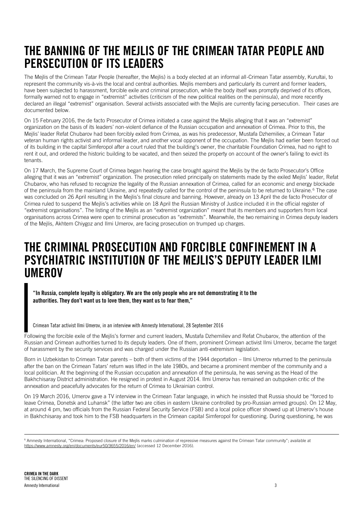### <span id="page-5-0"></span>THE BANNING OF THE MEJLIS OF THE CRIMEAN TATAR PEOPLE AND PERSECUTION OF ITS LEADERS

The Mejlis of the Crimean Tatar People (hereafter, the Mejlis) is a body elected at an informal all-Crimean Tatar assembly, Kurultai, to represent the community vis-à-vis the local and central authorities. Mejlis members and particularly its current and former leaders, have been subjected to harassment, forcible exile and criminal prosecution, while the body itself was promptly deprived of its offices, formally warned not to engage in "extremist" activities (criticism of the new political realities on the peninsula), and more recently declared an illegal "extremist" organisation. Several activists associated with the Mejlis are currently facing persecution. Their cases are documented below.

On 15 February 2016, the de facto Prosecutor of Crimea initiated a case against the Mejlis alleging that it was an "extremist" organization on the basis of its leaders' non-violent defiance of the Russian occupation and annexation of Crimea. Prior to this, the Mejlis' leader Refat Chubarov had been forcibly exiled from Crimea, as was his predecessor, Mustafa Dzhemiliev, a Crimean Tatar veteran human rights activist and informal leader, and another vocal opponent of the occupation. The Mejlis had earlier been forced out of its building in the capital Simferopol after a court ruled that the building's owner, the charitable Foundation Crimea, had no right to rent it out, and ordered the historic building to be vacated, and then seized the property on account of the owner's failing to evict its tenants.

On 17 March, the Supreme Court of Crimea began hearing the case brought against the Mejlis by the de facto Prosecutor's Office alleging that it was an "extremist" organization. The prosecution relied principally on statements made by the exiled Mejlis' leader, Refat Chubarov, who has refused to recognize the legality of the Russian annexation of Crimea, called for an economic and energy blockade of the peninsula from the mainland Ukraine, and repeatedly called for the control of the peninsula to be returned to Ukraine.<sup>6</sup> The case was concluded on 26 April resulting in the Mejlis's final closure and banning. However, already on 13 April the de facto Prosecutor of Crimea ruled to suspend the Mejlis's activities while on 18 April the Russian Ministry of Justice included it in the official register of "extremist organisations". The listing of the Mejlis as an "extremist organization" meant that its members and supporters from local organisations across Crimea were open to criminal prosecution as "extremists". Meanwhile, the two remaining in Crimea deputy leaders of the Mejlis, Akhtem Chiygoz and Ilmi Umerov, are facing prosecution on trumped up charges.

### <span id="page-5-1"></span>THE CRIMINAL PROSECUTION AND FORCIBLE CONFINEMENT IN A PSYCHIATRIC INSTITUTION OF THE MEJLIS'S DEPUTY LEADER ILMI **UMEROV**

"In Russia, complete loyalty is obligatory. We are the only people who are not demonstrating it to the authorities. They don't want us to love them, they want us to fear them,"

Crimean Tatar activist Ilmi Umerov, in an interview with Amnesty International, 28 September 2016

Following the forcible exile of the Mejlis's former and current leaders, Mustafa Dzhemiliev and Refat Chubarov, the attention of the Russian and Crimean authorities turned to its deputy leaders. One of them, prominent Crimean activist Ilmi Umerov, became the target of harassment by the security services and was charged under the Russian anti-extremism legislation.

Born in Uzbekistan to Crimean Tatar parents – both of them victims of the 1944 deportation – Ilmi Umerov returned to the peninsula after the ban on the Crimean Tatars' return was lifted in the late 1980s, and became a prominent member of the community and a local politician. At the beginning of the Russian occupation and annexation of the peninsula, he was serving as the Head of the Bakhchisaray District administration. He resigned in protest in August 2014. Ilmi Umerov has remained an outspoken critic of the annexation and peacefully advocates for the return of Crimea to Ukrainian control.

On 19 March 2016, Umerov gave a TV interview in the Crimean Tatar language, in which he insisted that Russia should be "forced to leave Crimea, Donetsk and Luhansk" (the latter two are cities in eastern Ukraine controlled by pro-Russian armed groups). On 12 May, at around 4 pm, two officials from the Russian Federal Security Service (FSB) and a local police officer showed up at Umerov's house in Bakhchisaray and took him to the FSB headquarters in the Crimean capital Simferopol for questioning. During questioning, he was

<sup>&</sup>lt;sup>6</sup> Amnesty International, "Crimea: Proposed closure of the Mejlis marks culmination of repressive measures against the Crimean Tatar community"; available at <https://www.amnesty.org/en/documents/eur50/3655/2016/en/> (accessed 12 December 2016).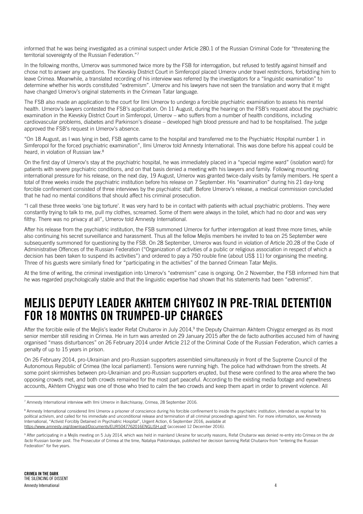informed that he was being investigated as a criminal suspect under Article 280.1 of the Russian Criminal Code for "threatening the territorial sovereignty of the Russian Federation."7

In the following months, Umerov was summoned twice more by the FSB for interrogation, but refused to testify against himself and chose not to answer any questions. The Kievskiy District Court in Simferopol placed Umerov under travel restrictions, forbidding him to leave Crimea. Meanwhile, a translated recording of his interview was referred by the investigators for a "linguistic examination" to determine whether his words constituted "extremism". Umerov and his lawyers have not seen the translation and worry that it might have changed Umerov's original statements in the Crimean Tatar language.

The FSB also made an application to the court for Ilmi Umerov to undergo a forcible psychiatric examination to assess his mental health. Umerov's lawyers contested the FSB's application. On 11 August, during the hearing on the FSB's request about the psychiatric examination in the Kievskiy District Court in Simferopol, Umerov – who suffers from a number of health conditions, including cardiovascular problems, diabetes and Parkinson's disease – developed high blood pressure and had to be hospitalised. The judge approved the FSB's request in Umerov's absence.

"On 18 August, as I was lying in bed, FSB agents came to the hospital and transferred me to the Psychiatric Hospital number 1 in Simferopol for the forced psychiatric examination", Ilmi Umerov told Amnesty International. This was done before his appeal could be heard, in violation of Russian law.<sup>8</sup>

On the first day of Umerov's stay at the psychiatric hospital, he was immediately placed in a "special regime ward" (isolation ward) for patients with severe psychiatric conditions, and on that basis denied a meeting with his lawyers and family. Following mounting international pressure for his release, on the next day, 19 August, Umerov was granted twice-daily visits by family members. He spent a total of three weeks inside the psychiatric institution before his release on 7 September. His "examination" during his 21 day-long forcible confinement consisted of three interviews by the psychiatric staff. Before Umerov's release, a medical commission concluded that he had no mental conditions that should affect his criminal prosecution.

"I call these three weeks 'one big torture'. It was very hard to be in contact with patients with actual psychiatric problems. They were constantly trying to talk to me, pull my clothes, screamed. Some of them were always in the toilet, which had no door and was very filthy. There was no privacy at all", Umerov told Amnesty International.

After his release from the psychiatric institution, the FSB summoned Umerov for further interrogation at least three more times, while also continuing his secret surveillance and harassment. Thus all the fellow Mejlis members he invited to tea on 25 September were subsequently summoned for questioning by the FSB. On 28 September, Umerov was found in violation of Article 20.28 of the Code of Administrative Offences of the Russian Federation ("Organization of activities of a public or religious association in respect of which a decision has been taken to suspend its activities") and ordered to pay a 750 rouble fine (about US\$ 11) for organising the meeting. Three of his guests were similarly fined for "participating in the activities" of the banned Crimean Tatar Mejlis.

At the time of writing, the criminal investigation into Umerov's "extremism" case is ongoing. On 2 November, the FSB informed him that he was regarded psychologically stable and that the linguistic expertise had shown that his statements had been "extremist".

### <span id="page-6-0"></span>MEJLIS DEPUTY LEADER AKHTEM CHIYGOZ IN PRE-TRIAL DETENTION FOR 18 MONTHS ON TRUMPED-UP CHARGES

After the forcible exile of the Mejlis's leader Refat Chubarov in July 2014,<sup>9</sup> the Deputy Chairman Akhtem Chiygoz emerged as its most senior member still residing in Crimea. He in turn was arrested on 29 January 2015 after the de facto authorities accused him of having organised "mass disturbances" on 26 February 2014 under Article 212 of the Criminal Code of the Russian Federation, which carries a penalty of up to 15 years in prison.

On 26 February 2014, pro-Ukrainian and pro-Russian supporters assembled simultaneously in front of the Supreme Council of the Autonomous Republic of Crimea (the local parliament). Tensions were running high. The police had withdrawn from the streets. At some point skirmishes between pro-Ukrainian and pro-Russian supporters erupted, but these were confined to the area where the two opposing crowds met, and both crowds remained for the most part peaceful. According to the existing media footage and eyewitness accounts, Akhtem Chiygoz was one of those who tried to calm the two crowds and keep them apart in order to prevent violence. All

<sup>7</sup> Amnesty International interview with Ilmi Umerov in Bakchisaray, Crimea, 28 September 2016.

<sup>&</sup>lt;sup>8</sup> Amnesty International considered Ilmi Umerov a prisoner of conscience during his forcible confinement to inside the psychiatric institution, intended as reprisal for his political activism, and called for his immediate and unconditional release and termination of all criminal proceedings against him. For more information, see Amnesty International, "Activist Forcibly Detained in Psychiatric Hospital", Urgent Action, 6 September 2016, available at <https://www.amnesty.org/download/Documents/EUR5047762016ENGLISH.pdf> (accessed 12 December 2016).

<sup>9</sup> After participating in a Mejlis meeting on 5 July 2014, which was held in mainland Ukraine for security reasons, Refat Chubarov was denied re-entry into Crimea on the *de facto* Russian border post. The Prosecutor of Crimea at the time, Nataliya Poklonskaya, published her decision banning Refat Chubarov from "entering the Russian Federation" for five years.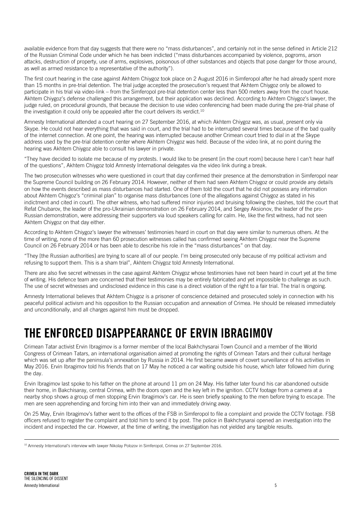available evidence from that day suggests that there were no "mass disturbances", and certainly not in the sense defined in Article 212 of the Russian Criminal Code under which he has been indicted ("mass disturbances accompanied by violence, pogroms, arson attacks, destruction of property, use of arms, explosives, poisonous of other substances and objects that pose danger for those around, as well as armed resistance to a representative of the authority").

The first court hearing in the case against Akhtem Chiygoz took place on 2 August 2016 in Simferopol after he had already spent more than 15 months in pre-trial detention. The trial judge accepted the prosecution's request that Akhtem Chiygoz only be allowed to participate in his trial via video-link – from the Simferopol pre-trial detention center less than 500 meters away from the court house. Akhtem Chiygoz's defense challenged this arrangement, but their application was declined. According to Akhtem Chiygoz's lawyer, the judge ruled, on procedural grounds, that because the decision to use video conferencing had been made during the pre-trial phase of the investigation it could only be appealed after the court delivers its verdict.<sup>10</sup>

Amnesty International attended a court hearing on 27 September 2016, at which Akhtem Chiygoz was, as usual, present only via Skype. He could not hear everything that was said in court, and the trial had to be interrupted several times because of the bad quality of the internet connection. At one point, the hearing was interrupted because another Crimean court tried to dial in at the Skype address used by the pre-trial detention center where Akhtem Chiygoz was held. Because of the video link, at no point during the hearing was Akhtem Chiygoz able to consult his lawyer in private.

"They have decided to isolate me because of my protests. I would like to be present [in the court room] because here I can't hear half of the questions", Akhtem Chiygoz told Amnesty International delegates via the video link during a break.

The two prosecution witnesses who were questioned in court that day confirmed their presence at the demonstration in Simferopol near the Supreme Council building on 26 February 2014. However, neither of them had seen Akhtem Chiygoz or could provide any details on how the events described as mass disturbances had started. One of them told the court that he did not possess any information about Akhtem Chiygoz's "criminal plan" to organise mass disturbances (one of the allegations against Chiygoz as stated in his indictment and cited in court). The other witness, who had suffered minor injuries and bruising following the clashes, told the court that Refat Chubarov, the leader of the pro-Ukrainian demonstration on 26 February 2014, and Sergey Aksionov, the leader of the pro-Russian demonstration, were addressing their supporters via loud speakers calling for calm. He, like the first witness, had not seen Akhtem Chiygoz on that day either.

According to Akhtem Chiygoz's lawyer the witnesses' testimonies heard in court on that day were similar to numerous others. At the time of writing, none of the more than 60 prosecution witnesses called has confirmed seeing Akhtem Chiygoz near the Supreme Council on 26 February 2014 or has been able to describe his role in the "mass disturbances" on that day.

"They [the Russian authorities] are trying to scare all of our people. I'm being prosecuted only because of my political activism and refusing to support them. This is a sham trial", Akhtem Chiygoz told Amnesty International.

There are also five secret witnesses in the case against Akhtem Chiygoz whose testimonies have not been heard in court yet at the time of writing. His defence team are concerned that their testimonies may be entirely fabricated and yet impossible to challenge as such. The use of secret witnesses and undisclosed evidence in this case is a direct violation of the right to a fair trial. The trial is ongoing.

Amnesty International believes that Akhtem Chiygoz is a prisoner of conscience detained and prosecuted solely in connection with his peaceful political activism and his opposition to the Russian occupation and annexation of Crimea. He should be released immediately and unconditionally, and all charges against him must be dropped.

### <span id="page-7-0"></span>THE ENFORCED DISAPPEARANCE OF ERVIN IBRAGIMOV

Crimean Tatar activist Ervin Ibragimov is a former member of the local Bakhchysarai Town Council and a member of the World Congress of Crimean Tatars, an international organisation aimed at promoting the rights of Crimean Tatars and their cultural heritage which was set up after the peninsula's annexation by Russia in 2014. He first became aware of covert surveillance of his activities in May 2016. Ervin Ibragimov told his friends that on 17 May he noticed a car waiting outside his house, which later followed him during the day.

Ervin Ibragimov last spoke to his father on the phone at around 11 pm on 24 May. His father later found his car abandoned outside their home, in Bakchisaray, central Crimea, with the doors open and the key left in the ignition. CCTV footage from a camera at a nearby shop shows a group of men stopping Ervin Ibragimov's car. He is seen briefly speaking to the men before trying to escape. The men are seen apprehending and forcing him into their van and immediately driving away.

On 25 May, Ervin Ibragimov's father went to the offices of the FSB in Simferopol to file a complaint and provide the CCTV footage. FSB officers refused to register the complaint and told him to send it by post. The police in Bakhchysarai opened an investigation into the incident and inspected the car. However, at the time of writing, the investigation has not yielded any tangible results.

<sup>&</sup>lt;sup>10</sup> Amnesty International's interview with lawyer Nikolay Polozov in Simferopol, Crimea on 27 September 2016.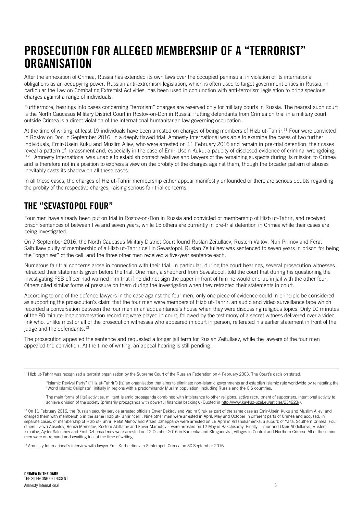### <span id="page-8-0"></span>PROSECUTION FOR ALLEGED MEMBERSHIP OF A "TERRORIST" **ORGANISATION**

After the annexation of Crimea, Russia has extended its own laws over the occupied peninsula, in violation of its international obligations as an occupying power. Russian anti-extremism legislation, which is often used to target government critics in Russia, in particular the Law on Combating Extremist Activities, has been used in conjunction with anti-terrorism legislation to bring specious charges against a range of individuals.

Furthermore, hearings into cases concerning "terrorism" charges are reserved only for military courts in Russia. The nearest such court is the North Caucasus Military District Court in Rostov-on-Don in Russia. Putting defendants from Crimea on trial in a military court outside Crimea is a direct violation of the international humanitarian law governing occupation.

At the time of writing, at least 19 individuals have been arrested on charges of being members of Hizb ut-Tahrir.<sup>11</sup> Four were convicted in Rostov on Don in September 2016, in a deeply flawed trial. Amnesty International was able to examine the cases of two further individuals, Emir-Usein Kuku and Muslim Aliev, who were arrested on 11 February 2016 and remain in pre-trial detention: their cases reveal a pattern of harassment and, especially in the case of Emir-Usein Kuku, a paucity of disclosed evidence of criminal wrongdoing. <sup>12</sup> Amnesty International was unable to establish contact relatives and lawyers of the remaining suspects during its mission to Crimea and is therefore not in a position to express a view on the probity of the charges against them, though the broader pattern of abuses inevitably casts its shadow on all these cases.

In all these cases, the charges of Hiz ut-Tahrir membership either appear manifestly unfounded or there are serious doubts regarding the probity of the respective charges, raising serious fair trial concerns.

#### <span id="page-8-1"></span>THE "SEVASTOPOL FOUR"

Four men have already been put on trial in Rostov-on-Don in Russia and convicted of membership of Hizb ut-Tahrir, and received prison sentences of between five and seven years, while 15 others are currently in pre-trial detention in Crimea while their cases are being investigated.

On 7 September 2016, the North Caucasus Military District Court found Ruslan Zeitullaev, Rustem Vaitov, Nuri Primov and Ferat Saitullaev guilty of membership of a Hizb ut-Tahrir cell in Sevastopol. Ruslan Zeitullaev was sentenced to seven years in prison for being the "organiser" of the cell, and the three other men received a five-year sentence each.

Numerous fair trial concerns arose in connection with their trial. In particular, during the court hearings, several prosecution witnesses retracted their statements given before the trial. One man, a shepherd from Sevastopol, told the court that during his questioning the investigating FSB officer had warned him that if he did not sign the paper in front of him he would end up in jail with the other four. Others cited similar forms of pressure on them during the investigation when they retracted their statements in court.

According to one of the defence lawyers in the case against the four men, only one piece of evidence could in principle be considered as supporting the prosecution's claim that the four men were members of Hizb ut-Tahrir: an audio and video surveillance tape which recorded a conversation between the four men in an acquaintance's house when they were discussing religious topics. Only 10 minutes of the 90 minute-long conversation recording were played in court, followed by the testimony of a secret witness delivered over a video link who, unlike most or all of the prosecution witnesses who appeared in court in person, reiterated his earlier statement in front of the judge and the defendants.<sup>13</sup>

The prosecution appealed the sentence and requested a longer jail term for Ruslan Zeitullaev, while the lawyers of the four men appealed the conviction. At the time of writing, an appeal hearing is still pending.

 $11$  Hizb ut-Tahrir was recognized a terrorist organisation by the Supreme Court of the Russian Federation on 4 February 2003. The Court's decision stated:

"Islamic Revival Party" ("Hiz ut-Tahrir") [is] an organisation that aims to eliminate non-Islamic governments and establish Islamic rule worldwide by reinstating the "World Islamic Caliphate", initially in regions with a predominantly Muslim population, including Russia and the CIS countries.

The main forms of [its] activities: militant Islamic propaganda combined with intolerance to other religions; active recruitment of supporters, intentional activity to achieve division of the society (primarily propaganda with powerful financial backing). (Quoted i[n http://www.kavkaz-uzel.eu/articles/234923/\)](http://www.kavkaz-uzel.eu/articles/234923/).

<sup>12</sup> On 11 February 2016, the Russian security service arrested officials Enver Bekirov and Vadim Siruk as part of the same case as Emir-Usein Kuku and Muslim Aliev, and charged them with membership in the same Hizb ut-Tahrir "cell". Nine other men were arrested in April, May and October in different parts of Crimea and accused, in separate cases, of membership of Hizb ut-Tahrir. Refat Alimov and Arsen Dzhepparov were arrested on 18 April in Krasnokamenka, a suburb of Yalta, Southern Crimea. Four others - Zevri Abseitov, Remzi Memetov, Rustem Abiltarov and Enver Mamutov – were arrested on 12 May in Bakchisaray. Finally, Timur and Uzeir Abdullaevs, Rustem Ismailov, Ayder Saledinov and Emil Dzhemadenov were arrested on 12 October 2016 in Kamenka and Stroganovka, villages in Central and Northern Crimea. All of these nine men were on remand and awaiting trial at the time of writing.

<sup>13</sup> Amnesty International's interview with lawyer Emil Kurbetdinov in Simferopol, Crimea on 30 September 2016.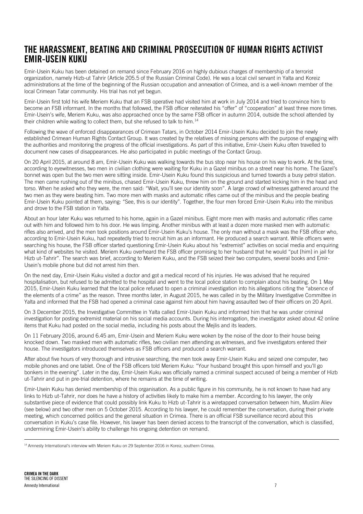#### <span id="page-9-0"></span>THE HARASSMENT, BEATING AND CRIMINAL PROSECUTION OF HUMAN RIGHTS ACTIVIST EMIR-USEIN KUKU

Emir-Usein Kuku has been detained on remand since February 2016 on highly dubious charges of membership of a terrorist organization, namely Hizb-ut Tahrir (Article 205.5 of the Russian Criminal Code). He was a local civil servant in Yalta and Koreiz administrations at the time of the beginning of the Russian occupation and annexation of Crimea, and is a well-known member of the local Crimean Tatar community. His trial has not yet begun.

Emir-Usein first told his wife Meriem Kuku that an FSB operative had visited him at work in July 2014 and tried to convince him to become an FSB informant. In the months that followed, the FSB officer reiterated his "offer" of "cooperation" at least three more times. Emir-Usein's wife, Meriem Kuku, was also approached once by the same FSB officer in autumn 2014, outside the school attended by their children while waiting to collect them, but she refused to talk to him.<sup>14</sup>

Following the wave of enforced disappearances of Crimean Tatars, in October 2014 Emir-Usein Kuku decided to join the newly established Crimean Human Rights Contact Group. It was created by the relatives of missing persons with the purpose of engaging with the authorities and monitoring the progress of the official investigations. As part of this initiative, Emir-Usein Kuku often travelled to document new cases of disappearances. He also participated in public meetings of the Contact Group.

On 20 April 2015, at around 8 am, Emir-Usein Kuku was walking towards the bus stop near his house on his way to work. At the time, according to eyewitnesses, two men in civilian clothing were waiting for Kuku in a Gazel minibus on a street near his home. The Gazel's bonnet was open but the two men were sitting inside. Emir-Usein Kuku found this suspicious and turned towards a busy petrol station. The men came rushing out of the minibus, chased Emir-Usein Kuku, threw him on the ground and started kicking him in the head and torso. When he asked who they were, the men said: "Wait, you'll see our identity soon". A large crowd of witnesses gathered around the two men as they were beating him. Two more men with masks and automatic rifles came out of the minibus and the people beating Emir-Usein Kuku pointed at them, saying: "See, this is our identity". Together, the four men forced Emir-Usein Kuku into the minibus and drove to the FSB station in Yalta.

About an hour later Kuku was returned to his home, again in a Gazel minibus. Eight more men with masks and automatic rifles came out with him and followed him to his door. He was limping. Another minibus with at least a dozen more masked men with automatic rifles also arrived, and the men took positions around Emir-Usein Kuku's house. The only man without a mask was the FSB officer who, according to Emir-Usein Kuku, had repeatedly tried to recruit him as an informant. He produced a search warrant. While officers were searching his house, the FSB officer started questioning Emir-Usein Kuku about his "extremist" activities on social media and enquiring what kind of websites he visited. Meriem Kuku overheard the FSB officer promising to her husband that he would "put [him] in jail for Hizb ut-Tahrir". The search was brief, according to Meriem Kuku, and the FSB seized their two computers, several books and Emir-Usein's mobile phone but did not arrest him then.

On the next day, Emir-Usein Kuku visited a doctor and got a medical record of his injuries. He was advised that he required hospitalisation, but refused to be admitted to the hospital and went to the local police station to complain about his beating. On 1 May 2015, Emir-Usein Kuku learned that the local police refused to open a criminal investigation into his allegations citing the "absence of the elements of a crime" as the reason. Three months later, in August 2015, he was called in by the Military Investigative Committee in Yalta and informed that the FSB had opened a criminal case against him about him having assaulted two of their officers on 20 April.

On 3 December 2015, the Investigative Committee in Yalta called Emir-Usein Kuku and informed him that he was under criminal investigation for posting extremist material on his social media accounts. During his interrogation, the investigator asked about 42 online items that Kuku had posted on the social media, including his posts about the Mejlis and its leaders.

On 11 February 2016, around 6.45 am, Emir-Usein and Meriem Kuku were woken by the noise of the door to their house being knocked down. Two masked men with automatic rifles, two civilian men attending as witnesses, and five investigators entered their house. The investigators introduced themselves as FSB officers and produced a search warrant.

After about five hours of very thorough and intrusive searching, the men took away Emir-Usein Kuku and seized one computer, two mobile phones and one tablet. One of the FSB officers told Meriem Kuku: "Your husband brought this upon himself and you'll go bonkers in the evening". Later in the day, Emir-Usein Kuku was officially named a criminal suspect accused of being a member of Hizb ut-Tahrir and put in pre-trial detention, where he remains at the time of writing.

Emir-Usein Kuku has denied membership of this organisation. As a public figure in his community, he is not known to have had any links to Hizb ut-Tahrir, nor does he have a history of activities likely to make him a member. According to his lawyer, the only substantive piece of evidence that could possibly link Kuku to Hizb ut-Tahrir is a wiretapped conversation between him, Muslim Aliev (see below) and two other men on 5 October 2015. According to his lawyer, he could remember the conversation, during their private meeting, which concerned politics and the general situation in Crimea. There is an official FSB surveillance record about this conversation in Kuku's case file. However, his lawyer has been denied access to the transcript of the conversation, which is classified, undermining Emir-Usein's ability to challenge his ongoing detention on remand.

<sup>&</sup>lt;sup>14</sup> Amnesty International's interview with Meriem Kuku on 29 September 2016 in Koreiz, southern Crimea.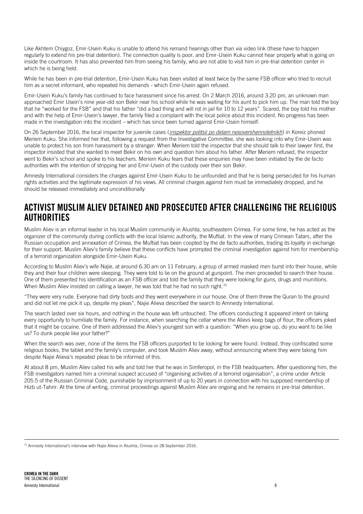Like Akhtem Chiygoz, Emir-Usein Kuku is unable to attend his remand hearings other than via video link (these have to happen regularly to extend his pre-trial detention). The connection quality is poor, and Emir-Usein Kuku cannot hear properly what is going on inside the courtroom. It has also prevented him from seeing his family, who are not able to visit him in pre-trial detention center in which he is being held.

While he has been in pre-trial detention, Emir-Usein Kuku has been visited at least twice by the same FSB officer who tried to recruit him as a secret informant, who repeated his demands - which Emir-Usein again refused.

Emir-Usein Kuku's family has continued to face harassment since his arrest. On 2 March 2016, around 3.20 pm, an unknown man approached Emir Usein's nine year-old son Bekir near his school while he was waiting for his aunt to pick him up. The man told the boy that he "worked for the FSB" and that his father "did a bad thing and will rot in jail for 10 to 12 years". Scared, the boy told his mother and with the help of Emir-Usein's lawyer, the family filed a complaint with the local police about this incident. No progress has been made in the investigation into the incident – which has since been turned against Emir-Usein himself.

On 26 September 2016, the local inspector for juvenile cases (*inspektor politsii po delam nesovershennoletnikh*) in Koreiz phoned Meriem Kuku. She informed her that, following a request from the Investigative Committee, she was looking into why Emir-Usein was unable to protect his son from harassment by a stranger. When Meriem told the inspector that she should talk to their lawyer first, the inspector insisted that she wanted to meet Bekir on his own and question him about his father. After Meriem refused, the inspector went to Bekir's school and spoke to his teachers. Meriem Kuku fears that these enquiries may have been initiated by the de facto authorities with the intention of stripping her and Emir-Usein of the custody over their son Bekir.

Amnesty International considers the charges against Emir-Usein Kuku to be unfounded and that he is being persecuted for his human rights activities and the legitimate expression of his views. All criminal charges against him must be immediately dropped, and he should be released immediately and unconditionally.

#### <span id="page-10-0"></span>ACTIVIST MUSLIM ALIEV DETAINED AND PROSECUTED AFTER CHALLENGING THE RELIGIOUS **AUTHORITIES**

Muslim Aliev is an informal leader in his local Muslim community in Alushta, southeastern Crimea. For some time, he has acted as the organizer of the community during conflicts with the local Islamic authority, the Muftiat. In the view of many Crimean Tatars, after the Russian occupation and annexation of Crimea, the Muftiat has been coopted by the de facto authorities, trading its loyalty in exchange for their support. Muslim Aliev's family believe that these conflicts have prompted the criminal investigation against him for membership of a terrorist organization alongside Emir-Usein Kuku.

According to Muslim Aliev's wife Najie, at around 6.30 am on 11 February, a group of armed masked men burst into their house, while they and their four children were sleeping. They were told to lie on the ground at gunpoint. The men proceeded to search their house. One of them presented his identification as an FSB officer and told the family that they were looking for guns, drugs and munitions. When Muslim Aliev insisted on calling a lawyer, he was told that he had no such right.<sup>15</sup>

"They were very rude. Everyone had dirty boots and they went everywhere in our house. One of them threw the Quran to the ground and did not let me pick it up, despite my pleas", Najie Alieva described the search to Amnesty International.

The search lasted over six hours, and nothing in the house was left untouched. The officers conducting it appeared intent on taking every opportunity to humiliate the family. For instance, when searching the cellar where the Alievs keep bags of flour, the officers joked that it might be cocaine. One of them addressed the Aliev's youngest son with a question: "When you grow up, do you want to be like us? To dunk people like your father?"

When the search was over, none of the items the FSB officers purported to be looking for were found. Instead, they confiscated some religious books, the tablet and the family's computer, and took Muslim Aliev away, without announcing where they were taking him despite Najie Alieva's repeated pleas to be informed of this.

At about 8 pm, Muslim Aliev called his wife and told her that he was in Simferopol, in the FSB headquarters. After questioning him, the FSB investigators named him a criminal suspect accused of "organising activities of a terrorist organisation", a crime under Article 205.5 of the Russian Criminal Code, punishable by imprisonment of up to 20 years in connection with his supposed membership of Hizb ut-Tahrir. At the time of writing, criminal proceedings against Muslim Aliev are ongoing and he remains in pre-trial detention.

<sup>&</sup>lt;sup>15</sup> Amnesty International's interview with Najie Alieva in Alushta, Crimea on 28 September 2016.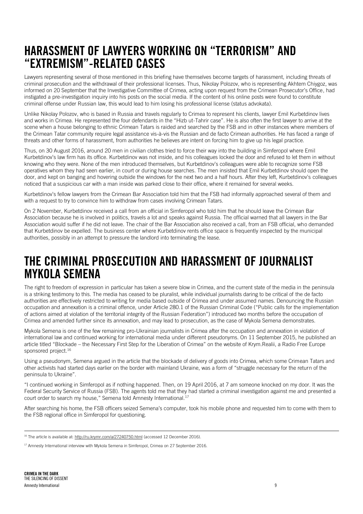### <span id="page-11-0"></span>HARASSMENT OF LAWYERS WORKING ON "TERRORISM" AND "EXTREMISM"-RELATED CASES

Lawyers representing several of those mentioned in this briefing have themselves become targets of harassment, including threats of criminal prosecution and the withdrawal of their professional licenses. Thus, Nikolay Polozov, who is representing Akhtem Chiygoz, was informed on 20 September that the Investigative Committee of Crimea, acting upon request from the Crimean Prosecutor's Office, had instigated a pre-investigation inquiry into his posts on the social media. If the content of his online posts were found to constitute criminal offense under Russian law, this would lead to him losing his professional license (status advokata).

Unlike Nikolay Polozov, who is based in Russia and travels regularly to Crimea to represent his clients, lawyer Emil Kurbetdinov lives and works in Crimea. He represented the four defendants in the "Hizb ut-Tahrir case". He is also often the first lawyer to arrive at the scene when a house belonging to ethnic Crimean Tatars is raided and searched by the FSB and in other instances where members of the Crimean Tatar community require legal assistance vis-à-vis the Russian and de facto Crimean authorities. He has faced a range of threats and other forms of harassment, from authorities he believes are intent on forcing him to give up his legal practice.

Thus, on 30 August 2016, around 20 men in civilian clothes tried to force their way into the building in Simferopol where Emil Kurbetdinov's law firm has its office. Kurbetdinov was not inside, and his colleagues locked the door and refused to let them in without knowing who they were. None of the men introduced themselves, but Kurbetdinov's colleagues were able to recognize some FSB operatives whom they had seen earlier, in court or during house searches. The men insisted that Emil Kurbetdinov should open the door, and kept on banging and hovering outside the windows for the next two and a half hours. After they left, Kurbetdinov's colleagues noticed that a suspicious car with a man inside was parked close to their office, where it remained for several weeks.

Kurbetdinov's fellow lawyers from the Crimean Bar Association told him that the FSB had informally approached several of them and with a request to try to convince him to withdraw from cases involving Crimean Tatars.

On 2 November, Kurbetdinov received a call from an official in Simferopol who told him that he should leave the Crimean Bar Association because he is involved in politics, travels a lot and speaks against Russia. The official warned that all lawyers in the Bar Association would suffer if he did not leave. The chair of the Bar Association also received a call, from an FSB official, who demanded that Kurbetdinov be expelled. The business center where Kurbetdinov rents office space is frequently inspected by the municipal authorities, possibly in an attempt to pressure the landlord into terminating the lease.

### <span id="page-11-1"></span>THE CRIMINAL PROSECUTION AND HARASSMENT OF JOURNALIST MYKOLA SEMENA

The right to freedom of expression in particular has taken a severe blow in Crimea, and the current state of the media in the peninsula is a striking testimony to this. The media has ceased to be pluralist, while individual journalists daring to be critical of the de facto authorities are effectively restricted to writing for media based outside of Crimea and under assumed names. Denouncing the Russian occupation and annexation is a criminal offence, under Article 280.1 of the Russian Criminal Code ("Public calls for the implementation of actions aimed at violation of the territorial integrity of the Russian Federation") introduced two months before the occupation of Crimea and amended further since its annexation, and may lead to prosecution, as the case of Mykola Semena demonstrates.

Mykola Semena is one of the few remaining pro-Ukrainian journalists in Crimea after the occupation and annexation in violation of international law and continued working for international media under different pseudonyms. On 11 September 2015, he published an article titled "Blockade – the Necessary First Step for the Liberation of Crimea" on the website of Krym.Realii, a Radio Free Europe sponsored project.<sup>16</sup>

Using a pseudonym, Semena argued in the article that the blockade of delivery of goods into Crimea, which some Crimean Tatars and other activists had started days earlier on the border with mainland Ukraine, was a form of "struggle necessary for the return of the peninsula to Ukraine".

"I continued working in Simferopol as if nothing happened. Then, on 19 April 2016, at 7 am someone knocked on my door. It was the Federal Security Service of Russia (FSB). The agents told me that they had started a criminal investigation against me and presented a court order to search my house," Semena told Amnesty International.<sup>17</sup>

After searching his home, the FSB officers seized Semena's computer, took his mobile phone and requested him to come with them to the FSB regional office in Simferopol for questioning.

<sup>&</sup>lt;sup>16</sup> The article is available at[: http://ru.krymr.com/a/27240750.html](http://ru.krymr.com/a/27240750.html) (accessed 12 December 2016).

<sup>&</sup>lt;sup>17</sup> Amnesty International interview with Mykola Semena in Simferopol, Crimea on 27 September 2016.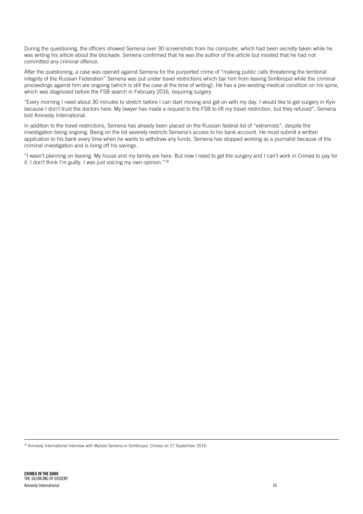During the questioning, the officers showed Semena over 30 screenshots from his computer, which had been secretly taken while he was writing his article about the blockade. Semena confirmed that he was the author of the article but insisted that he had not committed any criminal offence.

After the questioning, a case was opened against Semena for the purported crime of "making public calls threatening the territorial integrity of the Russian Federation" Semena was put under travel restrictions which bar him from leaving Simferopol while the criminal proceedings against him are ongoing (which is still the case at the time of writing). He has a pre-existing medical condition on his spine, which was diagnosed before the FSB search in February 2016, requiring surgery.

"Every morning I need about 30 minutes to stretch before I can start moving and get on with my day. I would like to get surgery in Kyiv because I don't trust the doctors here. My lawyer has made a request to the FSB to lift my travel restriction, but they refused", Semena told Amnesty International.

In addition to the travel restrictions, Semena has already been placed on the Russian federal list of "extremists", despite the investigation being ongoing. Being on the list severely restricts Semena's access to his bank account. He must submit a written application to his bank every time when he wants to withdraw any funds. Semena has stopped working as a journalist because of the criminal investigation and is living off his savings.

"I wasn't planning on leaving. My house and my family are here. But now I need to get the surgery and I can't work in Crimea to pay for it. I don't think I'm guilty. I was just voicing my own opinion."<sup>18</sup>

<sup>18</sup> Amnesty International interview with Mykola Semena in Simferopol, Crimea on 27 September 2016.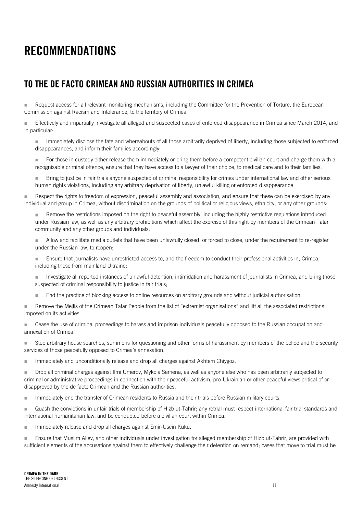### <span id="page-13-0"></span>RECOMMENDATIONS

#### <span id="page-13-1"></span>TO THE DE FACTO CRIMEAN AND RUSSIAN AUTHORITIES IN CRIMEA

Request access for all relevant monitoring mechanisms, including the Committee for the Prevention of Torture, the European Commission against Racism and Intolerance, to the territory of Crimea.

 Effectively and impartially investigate all alleged and suspected cases of enforced disappearance in Crimea since March 2014, and in particular:

Immediately disclose the fate and whereabouts of all those arbitrarily deprived of liberty, including those subjected to enforced disappearances, and inform their families accordingly;

For those in custody either release them immediately or bring them before a competent civilian court and charge them with a recognisable criminal offence, ensure that they have access to a lawyer of their choice, to medical care and to their families;

**Bring to justice in fair trials anyone suspected of criminal responsibility for crimes under international law and other serious** human rights violations, including any arbitrary deprivation of liberty, unlawful killing or enforced disappearance.

 Respect the rights to freedom of expression, peaceful assembly and association, and ensure that these can be exercised by any individual and group in Crimea, without discrimination on the grounds of political or religious views, ethnicity, or any other grounds:

Remove the restrictions imposed on the right to peaceful assembly, including the highly restrictive regulations introduced under Russian law, as well as any arbitrary prohibitions which affect the exercise of this right by members of the Crimean Tatar community and any other groups and individuals;

Allow and facilitate media outlets that have been unlawfully closed, or forced to close, under the requirement to re-register under the Russian law, to reopen;

**Ensure that journalists have unrestricted access to, and the freedom to conduct their professional activities in, Crimea,** including those from mainland Ukraine;

Investigate all reported instances of unlawful detention, intimidation and harassment of journalists in Crimea, and bring those suspected of criminal responsibility to justice in fair trials;

**End the practice of blocking access to online resources on arbitrary grounds and without judicial authorisation.** 

**Remove the Mejlis of the Crimean Tatar People from the list of "extremist organisations" and lift all the associated restrictions** imposed on its activities.

**Cease the use of criminal proceedings to harass and imprison individuals peacefully opposed to the Russian occupation and** annexation of Crimea.

 Stop arbitrary house searches, summons for questioning and other forms of harassment by members of the police and the security services of those peacefully opposed to Crimea's annexation.

Immediately and unconditionally release and drop all charges against Akhtem Chiygoz.

 Drop all criminal charges against Ilmi Umerov, Mykola Semena, as well as anyone else who has been arbitrarily subjected to criminal or administrative proceedings in connection with their peaceful activism, pro-Ukrainian or other peaceful views critical of or disapproved by the de facto Crimean and the Russian authorities.

Immediately end the transfer of Crimean residents to Russia and their trials before Russian military courts.

Quash the convictions in unfair trials of membership of Hizb ut-Tahrir; any retrial must respect international fair trial standards and international humanitarian law, and be conducted before a civilian court within Crimea.

**IMMEDIATELY** release and drop all charges against Emir-Usein Kuku.

 Ensure that Muslim Aliev, and other individuals under investigation for alleged membership of Hizb ut-Tahrir, are provided with sufficient elements of the accusations against them to effectively challenge their detention on remand; cases that move to trial must be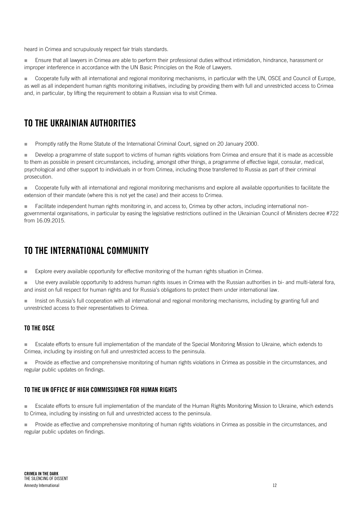heard in Crimea and scrupulously respect fair trials standards.

 Ensure that all lawyers in Crimea are able to perform their professional duties without intimidation, hindrance, harassment or improper interference in accordance with the UN Basic Principles on the Role of Lawyers.

 Cooperate fully with all international and regional monitoring mechanisms, in particular with the UN, OSCE and Council of Europe, as well as all independent human rights monitoring initiatives, including by providing them with full and unrestricted access to Crimea and, in particular, by lifting the requirement to obtain a Russian visa to visit Crimea.

#### <span id="page-14-0"></span>TO THE UKRAINIAN AUTHORITIES

**Promptly ratify the Rome Statute of the International Criminal Court, signed on 20 January 2000.** 

Develop a programme of state support to victims of human rights violations from Crimea and ensure that it is made as accessible to them as possible in present circumstances, including, amongst other things, a programme of effective legal, consular, medical, psychological and other support to individuals in or from Crimea, including those transferred to Russia as part of their criminal prosecution.

Cooperate fully with all international and regional monitoring mechanisms and explore all available opportunities to facilitate the extension of their mandate (where this is not yet the case) and their access to Crimea.

Facilitate independent human rights monitoring in, and access to, Crimea by other actors, including international nongovernmental organisations, in particular by easing the legislative restrictions outlined in the Ukrainian Council of Ministers decree #722 from 16.09.2015.

#### <span id="page-14-1"></span>TO THE INTERNATIONAL COMMUNITY

**Explore every available opportunity for effective monitoring of the human rights situation in Crimea.** 

 Use every available opportunity to address human rights issues in Crimea with the Russian authorities in bi- and multi-lateral fora, and insist on full respect for human rights and for Russia's obligations to protect them under international law.

Insist on Russia's full cooperation with all international and regional monitoring mechanisms, including by granting full and unrestricted access to their representatives to Crimea.

#### <span id="page-14-2"></span>TO THE OSCE

 Escalate efforts to ensure full implementation of the mandate of the Special Monitoring Mission to Ukraine, which extends to Crimea, including by insisting on full and unrestricted access to the peninsula.

**Provide as effective and comprehensive monitoring of human rights violations in Crimea as possible in the circumstances, and** regular public updates on findings.

#### <span id="page-14-3"></span>TO THE UN OFFICE OF HIGH COMMISSIONER FOR HUMAN RIGHTS

**Escalate efforts to ensure full implementation of the mandate of the Human Rights Monitoring Mission to Ukraine, which extends** to Crimea, including by insisting on full and unrestricted access to the peninsula.

 Provide as effective and comprehensive monitoring of human rights violations in Crimea as possible in the circumstances, and regular public updates on findings.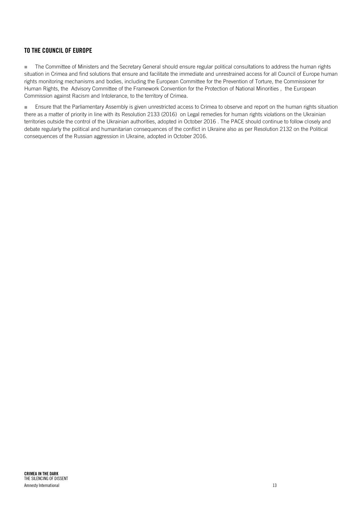#### <span id="page-15-0"></span>TO THE COUNCIL OF EUROPE

The Committee of Ministers and the Secretary General should ensure regular political consultations to address the human rights situation in Crimea and find solutions that ensure and facilitate the immediate and unrestrained access for all Council of Europe human rights monitoring mechanisms and bodies, including the European Committee for the Prevention of Torture, the Commissioner for Human Rights, the Advisory Committee of the Framework Convention for the Protection of National Minorities , the European Commission against Racism and Intolerance, to the territory of Crimea.

**Ensure that the Parliamentary Assembly is given unrestricted access to Crimea to observe and report on the human rights situation** there as a matter of priority in line with its Resolution 2133 (2016) on Legal remedies for human rights violations on the Ukrainian territories outside the control of the Ukrainian authorities, adopted in October 2016 . The PACE should continue to follow closely and debate regularly the political and humanitarian consequences of the conflict in Ukraine also as per Resolution 2132 on the Political consequences of the Russian aggression in Ukraine, adopted in October 2016.